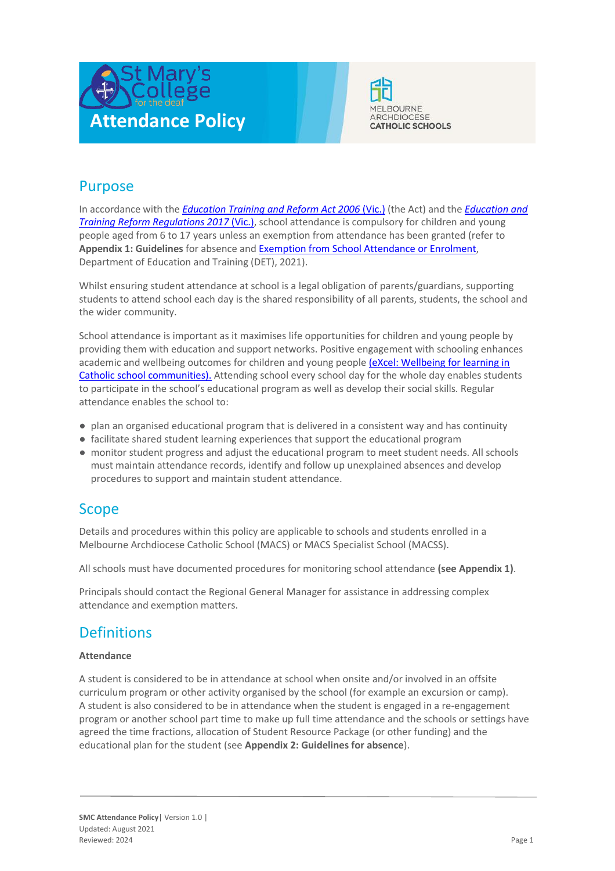



## Purpose

In accordance with the *[Education Training and Reform Act 2006](https://www.macs.vic.edu.au/CatholicEducationMelbourne/media/Documentation/Documents/eXcel-Wellbeing-for-learning_Guide_May-2018_CEM.pdf)* [\(Vic.\)](https://www.macs.vic.edu.au/CatholicEducationMelbourne/media/Documentation/Documents/eXcel-Wellbeing-for-learning_Guide_May-2018_CEM.pdf) (the Act) and the *[Education and](https://www.education.vic.gov.au/about/department/legislation/Pages/act2006regs.aspx)  [Training Reform Regulations 2017](https://www.education.vic.gov.au/about/department/legislation/Pages/act2006regs.aspx)* [\(Vic.\),](https://www.education.vic.gov.au/about/department/legislation/Pages/act2006regs.aspx) school attendance is compulsory for children and young people aged from 6 to 17 years unless an exemption from attendance has been granted (refer to **Appendix 1: Guidelines** for absence an[d Exemption from School Attendance](https://www2.education.vic.gov.au/pal/exemption-school-attendance-and-enrolment/policy) or Enrolment, Department of Education and Training (DET), 2021).

Whilst ensuring student attendance at school is a legal obligation of parents/guardians, supporting students to attend school each day is the shared responsibility of all parents, students, the school and the wider community.

School attendance is important as it maximises life opportunities for children and young people by providing them with education and support networks. Positive engagement with schooling enhances academic and wellbeing outcomes for children and young peopl[e \(eXcel: Wellbeing for learning in](https://www.macs.vic.edu.au/CatholicEducationMelbourne/media/Documentation/Documents/eXcel-Wellbeing-for-learning_Guide_May-2018_CEM.pdf)  [Catholic school communities\).](https://www.macs.vic.edu.au/CatholicEducationMelbourne/media/Documentation/Documents/eXcel-Wellbeing-for-learning_Guide_May-2018_CEM.pdf) Attending school every school day for the whole day enables students to participate in the school's educational program as well as develop their social skills. Regular attendance enables the school to:

- plan an organised educational program that is delivered in a consistent way and has continuity
- facilitate shared student learning experiences that support the educational program
- monitor student progress and adjust the educational program to meet student needs. All schools must maintain attendance records, identify and follow up unexplained absences and develop procedures to support and maintain student attendance.

### Scope

Details and procedures within this policy are applicable to schools and students enrolled in a Melbourne Archdiocese Catholic School (MACS) or MACS Specialist School (MACSS).

All schools must have documented procedures for monitoring school attendance **(see Appendix 1)**.

Principals should contact the Regional General Manager for assistance in addressing complex attendance and exemption matters.

### **Definitions**

#### **Attendance**

A student is considered to be in attendance at school when onsite and/or involved in an offsite curriculum program or other activity organised by the school (for example an excursion or camp). A student is also considered to be in attendance when the student is engaged in a re-engagement program or another school part time to make up full time attendance and the schools or settings have agreed the time fractions, allocation of Student Resource Package (or other funding) and the educational plan for the student (see **Appendix 2: Guidelines for absence**).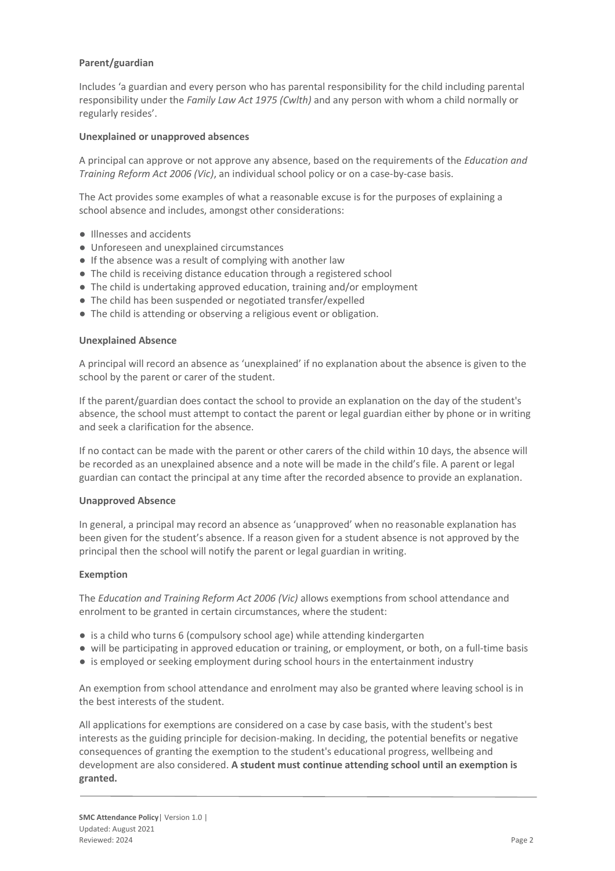#### **Parent/guardian**

Includes 'a guardian and every person who has parental responsibility for the child including parental responsibility under the *Family Law Act 1975 (Cwlth)* and any person with whom a child normally or regularly resides'.

#### **Unexplained or unapproved absences**

A principal can approve or not approve any absence, based on the requirements of the *Education and Training Reform Act 2006 (Vic)*, an individual school policy or on a case-by-case basis.

The Act provides some examples of what a reasonable excuse is for the purposes of explaining a school absence and includes, amongst other considerations:

- Illnesses and accidents
- Unforeseen and unexplained circumstances
- If the absence was a result of complying with another law
- The child is receiving distance education through a registered school
- The child is undertaking approved education, training and/or employment
- The child has been suspended or negotiated transfer/expelled
- The child is attending or observing a religious event or obligation.

#### **Unexplained Absence**

A principal will record an absence as 'unexplained' if no explanation about the absence is given to the school by the parent or carer of the student.

If the parent/guardian does contact the school to provide an explanation on the day of the student's absence, the school must attempt to contact the parent or legal guardian either by phone or in writing and seek a clarification for the absence.

If no contact can be made with the parent or other carers of the child within 10 days, the absence will be recorded as an unexplained absence and a note will be made in the child's file. A parent or legal guardian can contact the principal at any time after the recorded absence to provide an explanation.

#### **Unapproved Absence**

In general, a principal may record an absence as 'unapproved' when no reasonable explanation has been given for the student's absence. If a reason given for a student absence is not approved by the principal then the school will notify the parent or legal guardian in writing.

#### **Exemption**

The *Education and Training Reform Act 2006 (Vic)* allows exemptions from school attendance and enrolment to be granted in certain circumstances, where the student:

- is a child who turns 6 (compulsory school age) while attending kindergarten
- will be participating in approved education or training, or employment, or both, on a full-time basis
- is employed or seeking employment during school hours in the entertainment industry

An exemption from school attendance and enrolment may also be granted where leaving school is in the best interests of the student.

All applications for exemptions are considered on a case by case basis, with the student's best interests as the guiding principle for decision-making. In deciding, the potential benefits or negative consequences of granting the exemption to the student's educational progress, wellbeing and development are also considered. **A student must continue attending school until an exemption is granted.**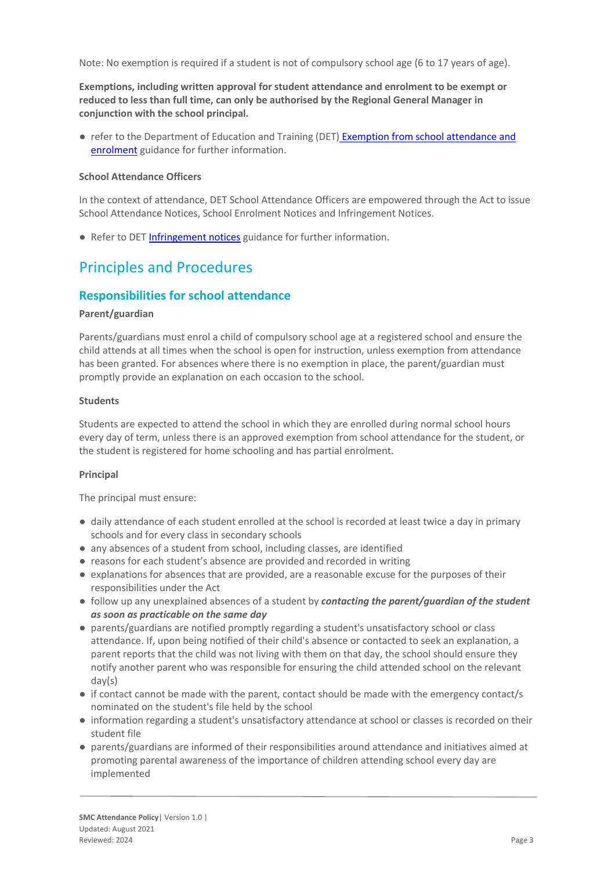Note: No exemption is required if a student is not of compulsory school age (6 to 17 years of age).

**Exemptions, including written approval for student attendance and enrolment to be exempt or reduced to less than full time, can only be authorised by the Regional General Manager in conjunction with the school principal.** 

● refer to the Department of Education and Training (DET) Exemption from school attendance and [enrolment](https://www2.education.vic.gov.au/pal/exemption-school-attendance-and-enrolment/guidance/1-exemption-categories) guidance for further information.

#### **School Attendance Officers**

In the context of attendance, DET School Attendance Officers are empowered through the Act to issue School Attendance Notices, School Enrolment Notices and Infringement Notices.

● Refer to DET [Infringement notices](https://www2.education.vic.gov.au/pal/attendance/guidance/10-infringement-notices) guidance for further information.

## Principles and Procedures

### **Responsibilities for school attendance**

#### **Parent/guardian**

Parents/guardians must enrol a child of compulsory school age at a registered school and ensure the child attends at all times when the school is open for instruction, unless exemption from attendance has been granted. For absences where there is no exemption in place, the parent/guardian must promptly provide an explanation on each occasion to the school.

#### **Students**

Students are expected to attend the school in which they are enrolled during normal school hours every day of term, unless there is an approved exemption from school attendance for the student, or the student is registered for home schooling and has partial enrolment.

#### **Principal**

The principal must ensure:

- daily attendance of each student enrolled at the school is recorded at least twice a day in primary schools and for every class in secondary schools
- any absences of a student from school, including classes, are identified
- reasons for each student's absence are provided and recorded in writing
- explanations for absences that are provided, are a reasonable excuse for the purposes of their responsibilities under the Act
- follow up any unexplained absences of a student by *contacting the parent/guardian of the student as soon as practicable on the same day*
- parents/guardians are notified promptly regarding a student's unsatisfactory school or class attendance. If, upon being notified of their child's absence or contacted to seek an explanation, a parent reports that the child was not living with them on that day, the school should ensure they notify another parent who was responsible for ensuring the child attended school on the relevant day(s)
- if contact cannot be made with the parent, contact should be made with the emergency contact/s nominated on the student's file held by the school
- information regarding a student's unsatisfactory attendance at school or classes is recorded on their student file
- parents/guardians are informed of their responsibilities around attendance and initiatives aimed at promoting parental awareness of the importance of children attending school every day are implemented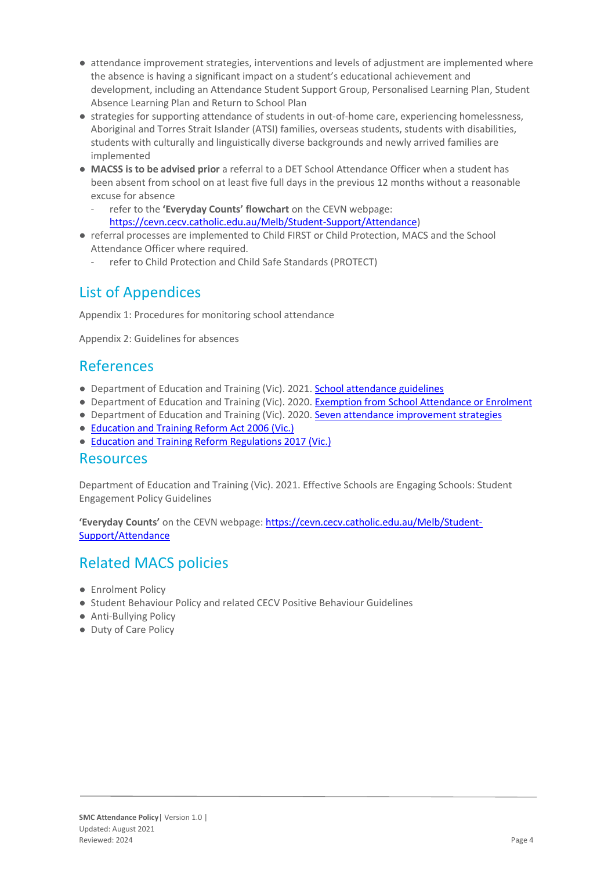- attendance improvement strategies, interventions and levels of adjustment are implemented where the absence is having a significant impact on a student's educational achievement and development, including an Attendance Student Support Group, Personalised Learning Plan, Student Absence Learning Plan and Return to School Plan
- strategies for supporting attendance of students in out-of-home care, experiencing homelessness, Aboriginal and Torres Strait Islander (ATSI) families, overseas students, students with disabilities, students with culturally and linguistically diverse backgrounds and newly arrived families are implemented
- **MACSS is to be advised prior** a referral to a DET School Attendance Officer when a student has been absent from school on at least five full days in the previous 12 months without a reasonable excuse for absence
	- refer to the **'Everyday Counts' flowchart** on the CEVN webpage: [https://cevn.cecv.catholic.edu.au/Melb/Student-Support/Attendance\)](https://cevn.cecv.catholic.edu.au/Melb/Student-Support/Attendance)
- referral processes are implemented to Child FIRST or Child Protection, MACS and the School Attendance Officer where required.
	- refer to Child Protection and Child Safe Standards (PROTECT)

## List of Appendices

Appendix 1: Procedures for monitoring school attendance

Appendix 2: Guidelines for absences

### References

- Department of Education and Training (Vic). 2021[. School attendance guidelines](https://www2.education.vic.gov.au/pal/attendance/guidance)
- Department of Education and Training (Vic). 2020[. Exemption from School Attendance or Enrolment](https://www2.education.vic.gov.au/pal/exemption-school-attendance-and-enrolment/policy)
- Department of Education and Training (Vic). 2020[. Seven attendance improvement strategies](https://www2.education.vic.gov.au/pal/attendance/guidance/7-attendance-improvement-strategies)
- [Education and Training Reform Act 2006 \(Vic.\)](https://www.legislation.vic.gov.au/in-force/acts/education-and-training-reform-act-2006/083)
- [Education and Training Reform Regulations 2017 \(Vic.\)](https://www.education.vic.gov.au/about/department/legislation/Pages/act2006regs.aspx)

### Resources

Department of Education and Training (Vic). 2021. Effective Schools are Engaging Schools: Student Engagement Policy Guidelines

**'Everyday Counts'** on the CEVN webpage: [https://cevn.cecv.catholic.edu.au/Melb/Student-](https://cevn.cecv.catholic.edu.au/Melb/Student-Support/Attendance)[Support/Attendance](https://cevn.cecv.catholic.edu.au/Melb/Student-Support/Attendance)

### Related MACS policies

- Enrolment Policy
- Student Behaviour Policy and related CECV Positive Behaviour Guidelines
- Anti-Bullying Policy
- Duty of Care Policy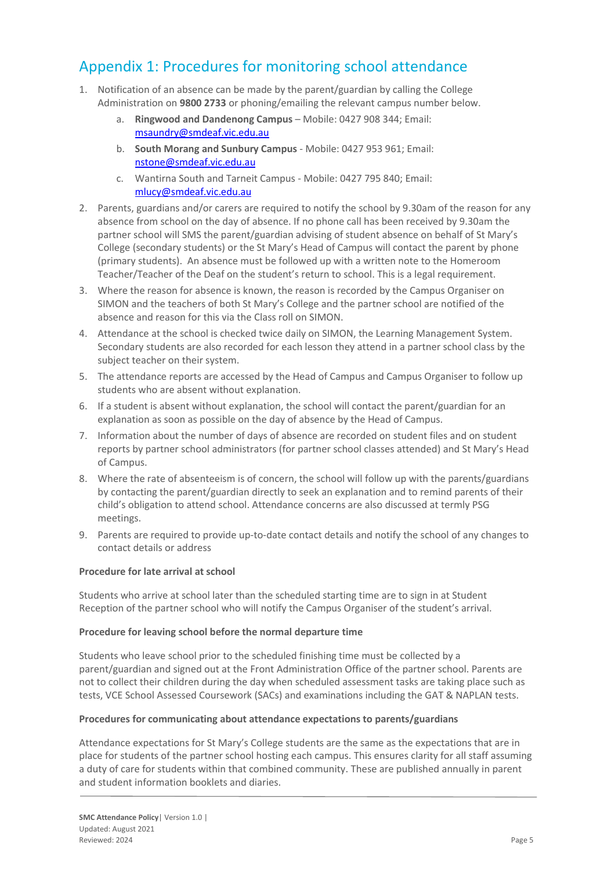# Appendix 1: Procedures for monitoring school attendance

- 1. Notification of an absence can be made by the parent/guardian by calling the College Administration on **9800 2733** or phoning/emailing the relevant campus number below.
	- a. **Ringwood and Dandenong Campus** Mobile: 0427 908 344; Email: [msaundry@smdeaf.vic.edu.au](mailto:msaundry@smdeaf.vic.edu.au)
	- b. **South Morang and Sunbury Campus** Mobile: 0427 953 961; Email: [nstone@smdeaf.vic.edu.au](mailto:nstone@smdeaf.vic.edu.au)
	- c. Wantirna South and Tarneit Campus Mobile: 0427 795 840; Email: [mlucy@smdeaf.vic.edu.au](http://mlucy@smdeaf.vic.edu.au)
- 2. Parents, guardians and/or carers are required to notify the school by 9.30am of the reason for any absence from school on the day of absence. If no phone call has been received by 9.30am the partner school will SMS the parent/guardian advising of student absence on behalf of St Mary's College (secondary students) or the St Mary's Head of Campus will contact the parent by phone (primary students). An absence must be followed up with a written note to the Homeroom Teacher/Teacher of the Deaf on the student's return to school. This is a legal requirement.
- 3. Where the reason for absence is known, the reason is recorded by the Campus Organiser on SIMON and the teachers of both St Mary's College and the partner school are notified of the absence and reason for this via the Class roll on SIMON.
- 4. Attendance at the school is checked twice daily on SIMON, the Learning Management System. Secondary students are also recorded for each lesson they attend in a partner school class by the subject teacher on their system.
- 5. The attendance reports are accessed by the Head of Campus and Campus Organiser to follow up students who are absent without explanation.
- 6. If a student is absent without explanation, the school will contact the parent/guardian for an explanation as soon as possible on the day of absence by the Head of Campus.
- 7. Information about the number of days of absence are recorded on student files and on student reports by partner school administrators (for partner school classes attended) and St Mary's Head of Campus.
- 8. Where the rate of absenteeism is of concern, the school will follow up with the parents/guardians by contacting the parent/guardian directly to seek an explanation and to remind parents of their child's obligation to attend school. Attendance concerns are also discussed at termly PSG meetings.
- 9. Parents are required to provide up-to-date contact details and notify the school of any changes to contact details or address

### **Procedure for late arrival at school**

Students who arrive at school later than the scheduled starting time are to sign in at Student Reception of the partner school who will notify the Campus Organiser of the student's arrival.

#### **Procedure for leaving school before the normal departure time**

Students who leave school prior to the scheduled finishing time must be collected by a parent/guardian and signed out at the Front Administration Office of the partner school. Parents are not to collect their children during the day when scheduled assessment tasks are taking place such as tests, VCE School Assessed Coursework (SACs) and examinations including the GAT & NAPLAN tests.

#### **Procedures for communicating about attendance expectations to parents/guardians**

Attendance expectations for St Mary's College students are the same as the expectations that are in place for students of the partner school hosting each campus. This ensures clarity for all staff assuming a duty of care for students within that combined community. These are published annually in parent and student information booklets and diaries.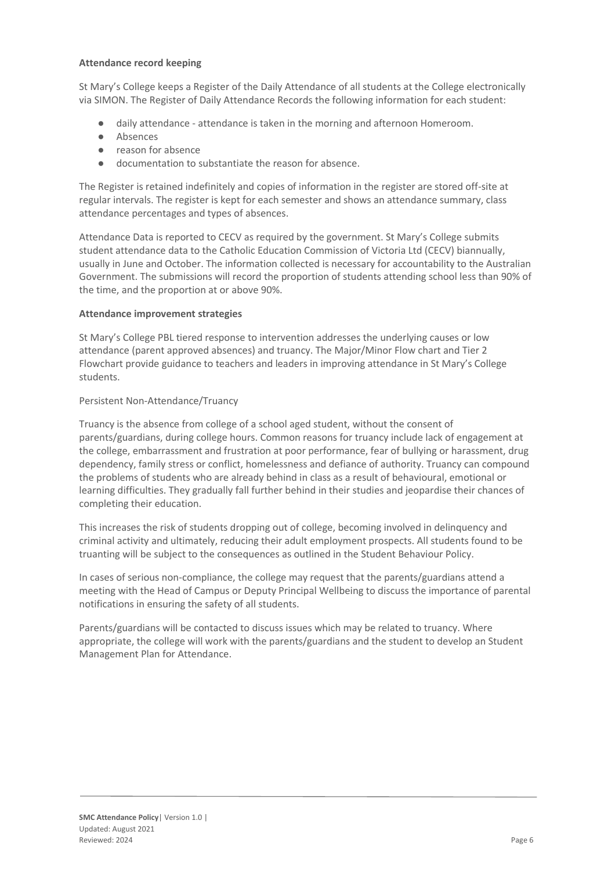#### **Attendance record keeping**

St Mary's College keeps a Register of the Daily Attendance of all students at the College electronically via SIMON. The Register of Daily Attendance Records the following information for each student:

- daily attendance attendance is taken in the morning and afternoon Homeroom.
- Absences
- reason for absence
- documentation to substantiate the reason for absence.

The Register is retained indefinitely and copies of information in the register are stored off-site at regular intervals. The register is kept for each semester and shows an attendance summary, class attendance percentages and types of absences.

Attendance Data is reported to CECV as required by the government. St Mary's College submits student attendance data to the Catholic Education Commission of Victoria Ltd (CECV) biannually, usually in June and October. The information collected is necessary for accountability to the Australian Government. The submissions will record the proportion of students attending school less than 90% of the time, and the proportion at or above 90%.

#### **Attendance improvement strategies**

St Mary's College PBL tiered response to intervention addresses the underlying causes or low attendance (parent approved absences) and truancy. The Major/Minor Flow chart and Tier 2 Flowchart provide guidance to teachers and leaders in improving attendance in St Mary's College students.

#### Persistent Non-Attendance/Truancy

Truancy is the absence from college of a school aged student, without the consent of parents/guardians, during college hours. Common reasons for truancy include lack of engagement at the college, embarrassment and frustration at poor performance, fear of bullying or harassment, drug dependency, family stress or conflict, homelessness and defiance of authority. Truancy can compound the problems of students who are already behind in class as a result of behavioural, emotional or learning difficulties. They gradually fall further behind in their studies and jeopardise their chances of completing their education.

This increases the risk of students dropping out of college, becoming involved in delinquency and criminal activity and ultimately, reducing their adult employment prospects. All students found to be truanting will be subject to the consequences as outlined in the Student Behaviour Policy.

In cases of serious non-compliance, the college may request that the parents/guardians attend a meeting with the Head of Campus or Deputy Principal Wellbeing to discuss the importance of parental notifications in ensuring the safety of all students.

Parents/guardians will be contacted to discuss issues which may be related to truancy. Where appropriate, the college will work with the parents/guardians and the student to develop an Student Management Plan for Attendance.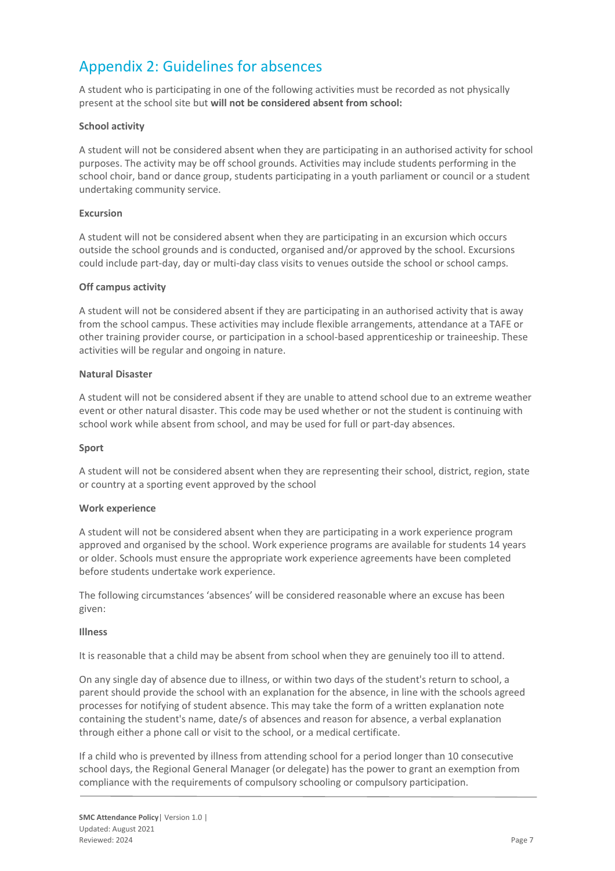# Appendix 2: Guidelines for absences

A student who is participating in one of the following activities must be recorded as not physically present at the school site but **will not be considered absent from school:**

#### **School activity**

A student will not be considered absent when they are participating in an authorised activity for school purposes. The activity may be off school grounds. Activities may include students performing in the school choir, band or dance group, students participating in a youth parliament or council or a student undertaking community service.

#### **Excursion**

A student will not be considered absent when they are participating in an excursion which occurs outside the school grounds and is conducted, organised and/or approved by the school. Excursions could include part-day, day or multi-day class visits to venues outside the school or school camps.

#### **Off campus activity**

A student will not be considered absent if they are participating in an authorised activity that is away from the school campus. These activities may include flexible arrangements, attendance at a TAFE or other training provider course, or participation in a school-based apprenticeship or traineeship. These activities will be regular and ongoing in nature.

#### **Natural Disaster**

A student will not be considered absent if they are unable to attend school due to an extreme weather event or other natural disaster. This code may be used whether or not the student is continuing with school work while absent from school, and may be used for full or part-day absences.

#### **Sport**

A student will not be considered absent when they are representing their school, district, region, state or country at a sporting event approved by the school

#### **Work experience**

A student will not be considered absent when they are participating in a work experience program approved and organised by the school. Work experience programs are available for students 14 years or older. Schools must ensure the appropriate work experience agreements have been completed before students undertake work experience.

The following circumstances 'absences' will be considered reasonable where an excuse has been given:

#### **Illness**

It is reasonable that a child may be absent from school when they are genuinely too ill to attend.

On any single day of absence due to illness, or within two days of the student's return to school, a parent should provide the school with an explanation for the absence, in line with the schools agreed processes for notifying of student absence. This may take the form of a written explanation note containing the student's name, date/s of absences and reason for absence, a verbal explanation through either a phone call or visit to the school, or a medical certificate.

If a child who is prevented by illness from attending school for a period longer than 10 consecutive school days, the Regional General Manager (or delegate) has the power to grant an exemption from compliance with the requirements of compulsory schooling or compulsory participation.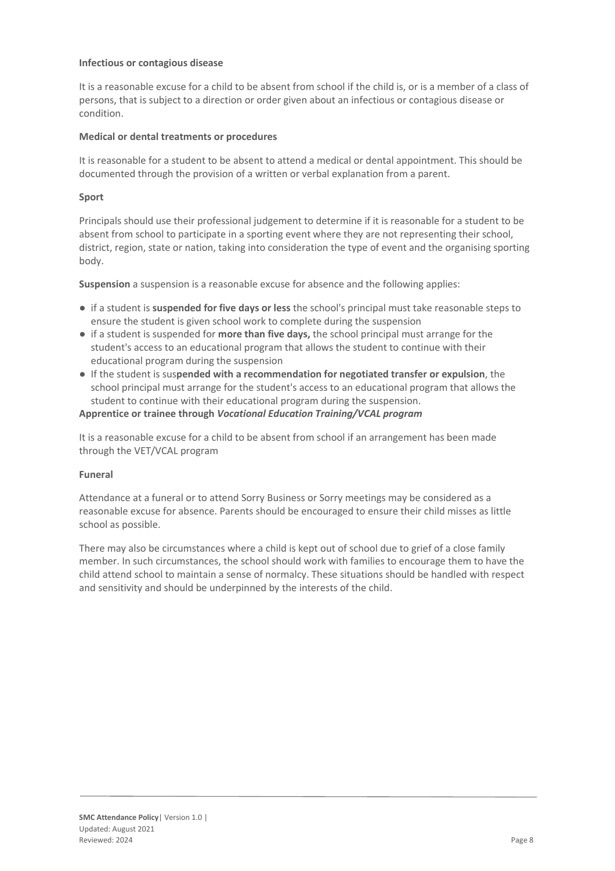#### **Infectious or contagious disease**

It is a reasonable excuse for a child to be absent from school if the child is, or is a member of a class of persons, that is subject to a direction or order given about an infectious or contagious disease or condition.

#### **Medical or dental treatments or procedures**

It is reasonable for a student to be absent to attend a medical or dental appointment. This should be documented through the provision of a written or verbal explanation from a parent.

#### **Sport**

Principals should use their professional judgement to determine if it is reasonable for a student to be absent from school to participate in a sporting event where they are not representing their school, district, region, state or nation, taking into consideration the type of event and the organising sporting body.

**Suspension** a suspension is a reasonable excuse for absence and the following applies:

- if a student is **suspended for five days or less** the school's principal must take reasonable steps to ensure the student is given school work to complete during the suspension
- if a student is suspended for **more than five days,** the school principal must arrange for the student's access to an educational program that allows the student to continue with their educational program during the suspension
- If the student is sus**pended with a recommendation for negotiated transfer or expulsion**, the school principal must arrange for the student's access to an educational program that allows the student to continue with their educational program during the suspension.

#### **Apprentice or trainee through** *Vocational Education Training/VCAL program*

It is a reasonable excuse for a child to be absent from school if an arrangement has been made through the VET/VCAL program

#### **Funeral**

Attendance at a funeral or to attend Sorry Business or Sorry meetings may be considered as a reasonable excuse for absence. Parents should be encouraged to ensure their child misses as little school as possible.

There may also be circumstances where a child is kept out of school due to grief of a close family member. In such circumstances, the school should work with families to encourage them to have the child attend school to maintain a sense of normalcy. These situations should be handled with respect and sensitivity and should be underpinned by the interests of the child.